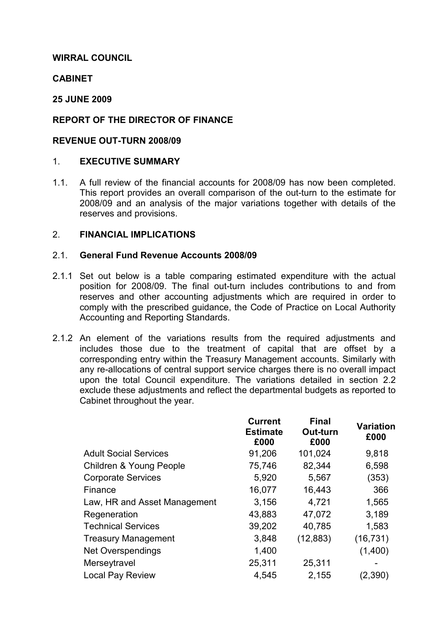# WIRRAL COUNCIL

# **CABINET**

# 25 JUNE 2009

# REPORT OF THE DIRECTOR OF FINANCE

# REVENUE OUT-TURN 2008/09

# 1. EXECUTIVE SUMMARY

1.1. A full review of the financial accounts for 2008/09 has now been completed. This report provides an overall comparison of the out-turn to the estimate for 2008/09 and an analysis of the major variations together with details of the reserves and provisions.

# 2. FINANCIAL IMPLICATIONS

# 2.1. General Fund Revenue Accounts 2008/09

- 2.1.1 Set out below is a table comparing estimated expenditure with the actual position for 2008/09. The final out-turn includes contributions to and from reserves and other accounting adjustments which are required in order to comply with the prescribed guidance, the Code of Practice on Local Authority Accounting and Reporting Standards.
- 2.1.2 An element of the variations results from the required adjustments and includes those due to the treatment of capital that are offset by a corresponding entry within the Treasury Management accounts. Similarly with any re-allocations of central support service charges there is no overall impact upon the total Council expenditure. The variations detailed in section 2.2 exclude these adjustments and reflect the departmental budgets as reported to Cabinet throughout the year.

|                              | <b>Current</b><br><b>Estimate</b><br>£000 | <b>Final</b><br>Out-turn<br>£000 | <b>Variation</b><br>£000 |
|------------------------------|-------------------------------------------|----------------------------------|--------------------------|
| <b>Adult Social Services</b> | 91,206                                    | 101,024                          | 9,818                    |
| Children & Young People      | 75,746                                    | 82,344                           | 6,598                    |
| <b>Corporate Services</b>    | 5,920                                     | 5,567                            | (353)                    |
| Finance                      | 16,077                                    | 16,443                           | 366                      |
| Law, HR and Asset Management | 3,156                                     | 4,721                            | 1,565                    |
| Regeneration                 | 43,883                                    | 47,072                           | 3,189                    |
| <b>Technical Services</b>    | 39,202                                    | 40,785                           | 1,583                    |
| <b>Treasury Management</b>   | 3,848                                     | (12, 883)                        | (16, 731)                |
| <b>Net Overspendings</b>     | 1,400                                     |                                  | (1,400)                  |
| Merseytravel                 | 25,311                                    | 25,311                           |                          |
| <b>Local Pay Review</b>      | 4,545                                     | 2,155                            | (2,390)                  |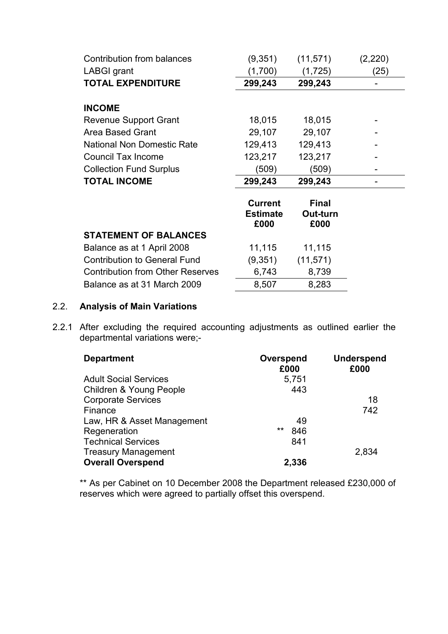| Contribution from balances              | (9,351)                                   | (11, 571)                        | (2,220) |
|-----------------------------------------|-------------------------------------------|----------------------------------|---------|
| <b>LABGI grant</b>                      | (1,700)                                   | (1, 725)                         | (25)    |
| <b>TOTAL EXPENDITURE</b>                | 299,243                                   | 299,243                          |         |
|                                         |                                           |                                  |         |
| <b>INCOME</b>                           |                                           |                                  |         |
| Revenue Support Grant                   | 18,015                                    | 18,015                           |         |
| <b>Area Based Grant</b>                 | 29,107                                    | 29,107                           |         |
| <b>National Non Domestic Rate</b>       | 129,413                                   | 129,413                          |         |
| <b>Council Tax Income</b>               | 123,217                                   | 123,217                          |         |
| <b>Collection Fund Surplus</b>          | (509)                                     | (509)                            |         |
| <b>TOTAL INCOME</b>                     | 299,243                                   | 299,243                          |         |
|                                         | <b>Current</b><br><b>Estimate</b><br>£000 | <b>Final</b><br>Out-turn<br>£000 |         |
| <b>STATEMENT OF BALANCES</b>            |                                           |                                  |         |
| Balance as at 1 April 2008              | 11,115                                    | 11,115                           |         |
| <b>Contribution to General Fund</b>     | (9,351)                                   | (11, 571)                        |         |
| <b>Contribution from Other Reserves</b> | 6,743                                     | 8,739                            |         |
| Balance as at 31 March 2009             | 8,507                                     | 8,283                            |         |

# 2.2. Analysis of Main Variations

2.2.1 After excluding the required accounting adjustments as outlined earlier the departmental variations were;-

| <b>Department</b>            | Overspend<br>£000 | <b>Underspend</b><br>£000 |
|------------------------------|-------------------|---------------------------|
| <b>Adult Social Services</b> | 5,751             |                           |
| Children & Young People      | 443               |                           |
| <b>Corporate Services</b>    |                   | 18                        |
| Finance                      |                   | 742                       |
| Law, HR & Asset Management   | 49                |                           |
| Regeneration                 | $***$<br>846      |                           |
| <b>Technical Services</b>    | 841               |                           |
| <b>Treasury Management</b>   |                   | 2,834                     |
| <b>Overall Overspend</b>     | 2,336             |                           |

 \*\* As per Cabinet on 10 December 2008 the Department released £230,000 of reserves which were agreed to partially offset this overspend.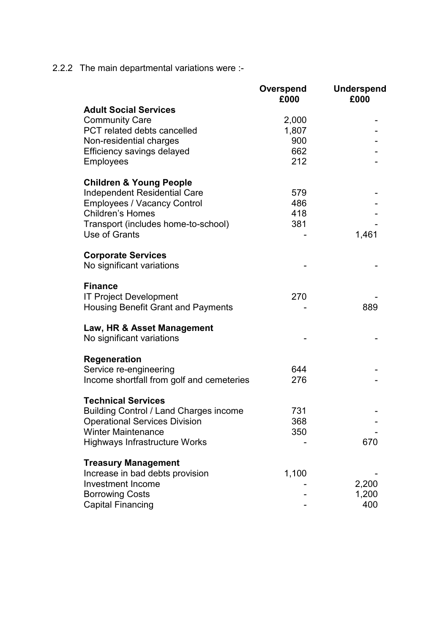2.2.2 The main departmental variations were :-

|                                               | Overspend<br>£000 | <b>Underspend</b><br>£000 |
|-----------------------------------------------|-------------------|---------------------------|
| <b>Adult Social Services</b>                  |                   |                           |
| <b>Community Care</b>                         | 2,000             |                           |
| PCT related debts cancelled                   | 1,807             |                           |
| Non-residential charges                       | 900               |                           |
| Efficiency savings delayed                    | 662               |                           |
| <b>Employees</b>                              | 212               |                           |
|                                               |                   |                           |
| <b>Children &amp; Young People</b>            |                   |                           |
| <b>Independent Residential Care</b>           | 579               |                           |
| <b>Employees / Vacancy Control</b>            | 486               |                           |
| <b>Children's Homes</b>                       | 418               |                           |
| Transport (includes home-to-school)           | 381               |                           |
| Use of Grants                                 |                   | 1,461                     |
|                                               |                   |                           |
| <b>Corporate Services</b>                     |                   |                           |
| No significant variations                     |                   |                           |
| <b>Finance</b>                                |                   |                           |
| <b>IT Project Development</b>                 | 270               |                           |
| <b>Housing Benefit Grant and Payments</b>     |                   | 889                       |
|                                               |                   |                           |
| Law, HR & Asset Management                    |                   |                           |
| No significant variations                     |                   |                           |
| <b>Regeneration</b>                           |                   |                           |
| Service re-engineering                        | 644               |                           |
| Income shortfall from golf and cemeteries     | 276               |                           |
|                                               |                   |                           |
| <b>Technical Services</b>                     |                   |                           |
| <b>Building Control / Land Charges income</b> | 731               |                           |
| <b>Operational Services Division</b>          | 368               |                           |
| <b>Winter Maintenance</b>                     | 350               |                           |
| <b>Highways Infrastructure Works</b>          |                   | 670                       |
| <b>Treasury Management</b>                    |                   |                           |
| Increase in bad debts provision               | 1,100             |                           |
| <b>Investment Income</b>                      |                   | 2,200                     |
| <b>Borrowing Costs</b>                        |                   | 1,200                     |
| <b>Capital Financing</b>                      |                   | 400                       |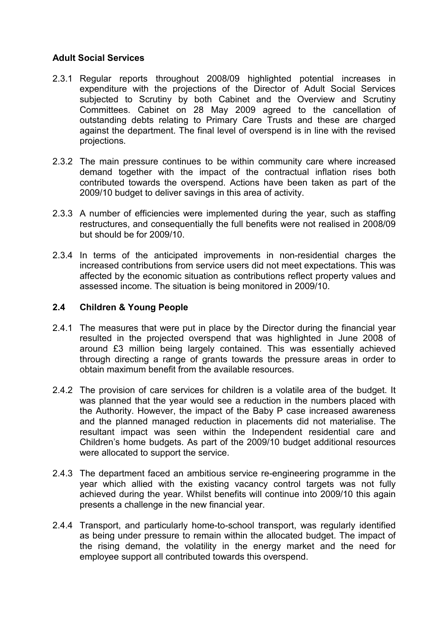# Adult Social Services

- 2.3.1 Regular reports throughout 2008/09 highlighted potential increases in expenditure with the projections of the Director of Adult Social Services subjected to Scrutiny by both Cabinet and the Overview and Scrutiny Committees. Cabinet on 28 May 2009 agreed to the cancellation of outstanding debts relating to Primary Care Trusts and these are charged against the department. The final level of overspend is in line with the revised projections.
- 2.3.2 The main pressure continues to be within community care where increased demand together with the impact of the contractual inflation rises both contributed towards the overspend. Actions have been taken as part of the 2009/10 budget to deliver savings in this area of activity.
- 2.3.3 A number of efficiencies were implemented during the year, such as staffing restructures, and consequentially the full benefits were not realised in 2008/09 but should be for 2009/10.
- 2.3.4 In terms of the anticipated improvements in non-residential charges the increased contributions from service users did not meet expectations. This was affected by the economic situation as contributions reflect property values and assessed income. The situation is being monitored in 2009/10.

# 2.4 Children & Young People

- 2.4.1 The measures that were put in place by the Director during the financial year resulted in the projected overspend that was highlighted in June 2008 of around £3 million being largely contained. This was essentially achieved through directing a range of grants towards the pressure areas in order to obtain maximum benefit from the available resources.
- 2.4.2 The provision of care services for children is a volatile area of the budget. It was planned that the year would see a reduction in the numbers placed with the Authority. However, the impact of the Baby P case increased awareness and the planned managed reduction in placements did not materialise. The resultant impact was seen within the Independent residential care and Children's home budgets. As part of the 2009/10 budget additional resources were allocated to support the service.
- 2.4.3 The department faced an ambitious service re-engineering programme in the year which allied with the existing vacancy control targets was not fully achieved during the year. Whilst benefits will continue into 2009/10 this again presents a challenge in the new financial year.
- 2.4.4 Transport, and particularly home-to-school transport, was regularly identified as being under pressure to remain within the allocated budget. The impact of the rising demand, the volatility in the energy market and the need for employee support all contributed towards this overspend.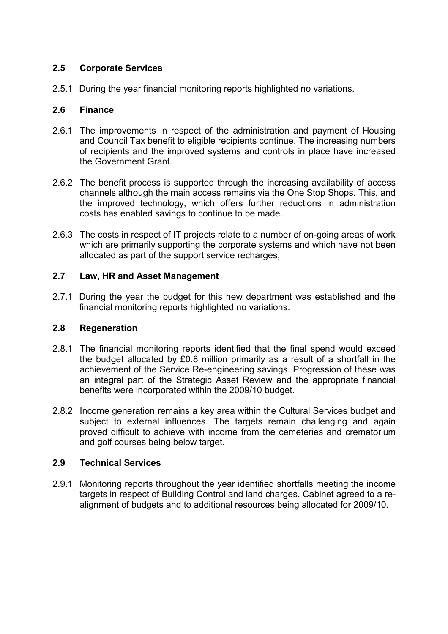# 2.5 Corporate Services

2.5.1 During the year financial monitoring reports highlighted no variations.

# 2.6 Finance

- 2.6.1 The improvements in respect of the administration and payment of Housing and Council Tax benefit to eligible recipients continue. The increasing numbers of recipients and the improved systems and controls in place have increased the Government Grant.
- 2.6.2 The benefit process is supported through the increasing availability of access channels although the main access remains via the One Stop Shops. This, and the improved technology, which offers further reductions in administration costs has enabled savings to continue to be made.
- 2.6.3 The costs in respect of IT projects relate to a number of on-going areas of work which are primarily supporting the corporate systems and which have not been allocated as part of the support service recharges,

# 2.7 Law, HR and Asset Management

2.7.1 During the year the budget for this new department was established and the financial monitoring reports highlighted no variations.

# 2.8 Regeneration

- 2.8.1 The financial monitoring reports identified that the final spend would exceed the budget allocated by £0.8 million primarily as a result of a shortfall in the achievement of the Service Re-engineering savings. Progression of these was an integral part of the Strategic Asset Review and the appropriate financial benefits were incorporated within the 2009/10 budget.
- 2.8.2 Income generation remains a key area within the Cultural Services budget and subject to external influences. The targets remain challenging and again proved difficult to achieve with income from the cemeteries and crematorium and golf courses being below target.

# 2.9 Technical Services

2.9.1 Monitoring reports throughout the year identified shortfalls meeting the income targets in respect of Building Control and land charges. Cabinet agreed to a realignment of budgets and to additional resources being allocated for 2009/10.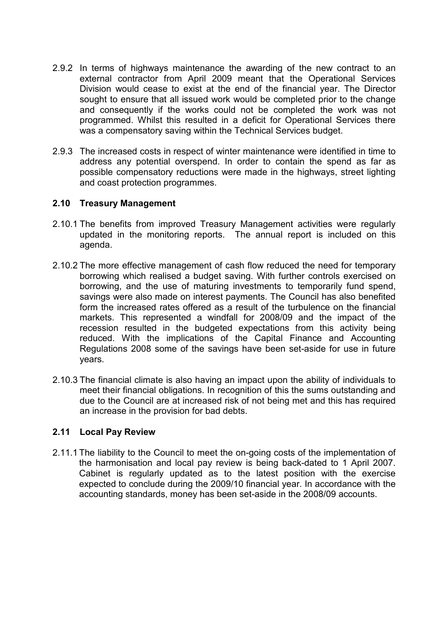- 2.9.2 In terms of highways maintenance the awarding of the new contract to an external contractor from April 2009 meant that the Operational Services Division would cease to exist at the end of the financial year. The Director sought to ensure that all issued work would be completed prior to the change and consequently if the works could not be completed the work was not programmed. Whilst this resulted in a deficit for Operational Services there was a compensatory saving within the Technical Services budget.
- 2.9.3 The increased costs in respect of winter maintenance were identified in time to address any potential overspend. In order to contain the spend as far as possible compensatory reductions were made in the highways, street lighting and coast protection programmes.

# 2.10 Treasury Management

- 2.10.1 The benefits from improved Treasury Management activities were regularly updated in the monitoring reports. The annual report is included on this agenda.
- 2.10.2 The more effective management of cash flow reduced the need for temporary borrowing which realised a budget saving. With further controls exercised on borrowing, and the use of maturing investments to temporarily fund spend, savings were also made on interest payments. The Council has also benefited form the increased rates offered as a result of the turbulence on the financial markets. This represented a windfall for 2008/09 and the impact of the recession resulted in the budgeted expectations from this activity being reduced. With the implications of the Capital Finance and Accounting Regulations 2008 some of the savings have been set-aside for use in future years.
- 2.10.3 The financial climate is also having an impact upon the ability of individuals to meet their financial obligations. In recognition of this the sums outstanding and due to the Council are at increased risk of not being met and this has required an increase in the provision for bad debts.

# 2.11 Local Pay Review

2.11.1 The liability to the Council to meet the on-going costs of the implementation of the harmonisation and local pay review is being back-dated to 1 April 2007. Cabinet is regularly updated as to the latest position with the exercise expected to conclude during the 2009/10 financial year. In accordance with the accounting standards, money has been set-aside in the 2008/09 accounts.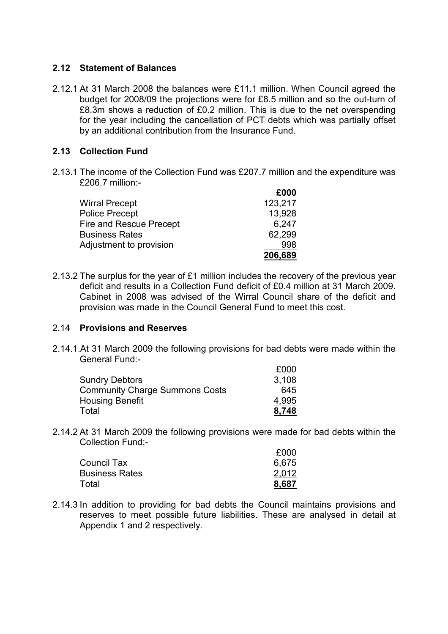# 2.12 Statement of Balances

2.12.1 At 31 March 2008 the balances were £11.1 million. When Council agreed the budget for 2008/09 the projections were for £8.5 million and so the out-turn of £8.3m shows a reduction of £0.2 million. This is due to the net overspending for the year including the cancellation of PCT debts which was partially offset by an additional contribution from the Insurance Fund.

# 2.13 Collection Fund

2.13.1 The income of the Collection Fund was £207.7 million and the expenditure was £206.7 million:-

|                         | £000    |
|-------------------------|---------|
| <b>Wirral Precept</b>   | 123,217 |
| <b>Police Precept</b>   | 13,928  |
| Fire and Rescue Precept | 6,247   |
| <b>Business Rates</b>   | 62,299  |
| Adjustment to provision | 998     |
|                         | 206,689 |

2.13.2 The surplus for the year of £1 million includes the recovery of the previous year deficit and results in a Collection Fund deficit of £0.4 million at 31 March 2009. Cabinet in 2008 was advised of the Wirral Council share of the deficit and provision was made in the Council General Fund to meet this cost.

# 2.14 Provisions and Reserves

2.14.1.At 31 March 2009 the following provisions for bad debts were made within the General Fund:-

|                                       | £000  |
|---------------------------------------|-------|
| <b>Sundry Debtors</b>                 | 3,108 |
| <b>Community Charge Summons Costs</b> | 645   |
| <b>Housing Benefit</b>                | 4,995 |
| Total                                 | 8,748 |

2.14.2 At 31 March 2009 the following provisions were made for bad debts within the Collection Fund;-

|                       | £000  |
|-----------------------|-------|
| <b>Council Tax</b>    | 6.675 |
| <b>Business Rates</b> | 2,012 |
| Total                 | 8.687 |

2.14.3 In addition to providing for bad debts the Council maintains provisions and reserves to meet possible future liabilities. These are analysed in detail at Appendix 1 and 2 respectively.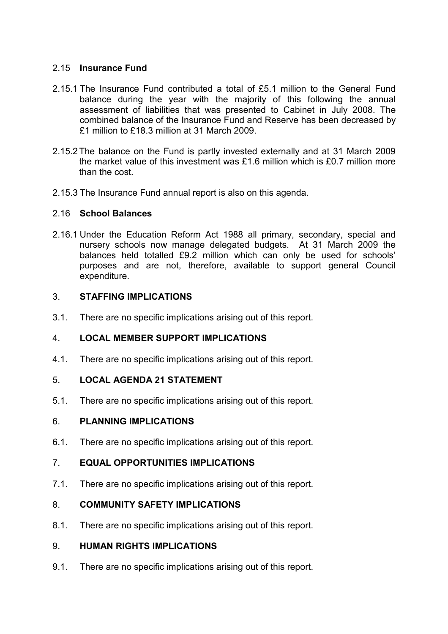# 2.15 Insurance Fund

- 2.15.1 The Insurance Fund contributed a total of £5.1 million to the General Fund balance during the year with the majority of this following the annual assessment of liabilities that was presented to Cabinet in July 2008. The combined balance of the Insurance Fund and Reserve has been decreased by £1 million to £18.3 million at 31 March 2009.
- 2.15.2 The balance on the Fund is partly invested externally and at 31 March 2009 the market value of this investment was £1.6 million which is £0.7 million more than the cost.
- 2.15.3 The Insurance Fund annual report is also on this agenda.

# 2.16 School Balances

2.16.1 Under the Education Reform Act 1988 all primary, secondary, special and nursery schools now manage delegated budgets. At 31 March 2009 the balances held totalled £9.2 million which can only be used for schools' purposes and are not, therefore, available to support general Council expenditure.

# 3. STAFFING IMPLICATIONS

3.1. There are no specific implications arising out of this report.

# 4. LOCAL MEMBER SUPPORT IMPLICATIONS

4.1. There are no specific implications arising out of this report.

# 5. LOCAL AGENDA 21 STATEMENT

5.1. There are no specific implications arising out of this report.

# 6. PLANNING IMPLICATIONS

6.1. There are no specific implications arising out of this report.

# 7. EQUAL OPPORTUNITIES IMPLICATIONS

7.1. There are no specific implications arising out of this report.

# 8. COMMUNITY SAFETY IMPLICATIONS

8.1. There are no specific implications arising out of this report.

# 9. HUMAN RIGHTS IMPLICATIONS

9.1. There are no specific implications arising out of this report.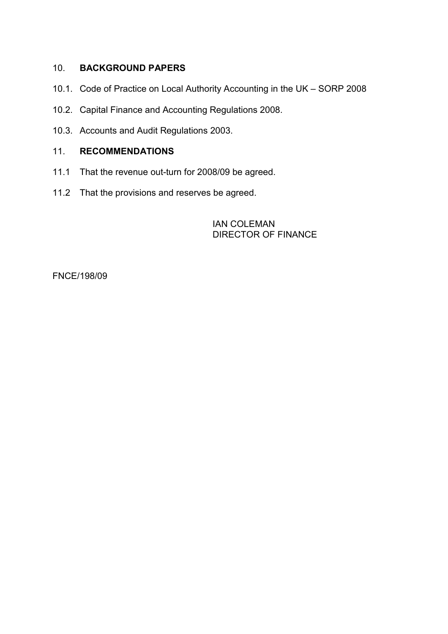# 10. BACKGROUND PAPERS

- 10.1. Code of Practice on Local Authority Accounting in the UK SORP 2008
- 10.2. Capital Finance and Accounting Regulations 2008.
- 10.3. Accounts and Audit Regulations 2003.

# 11. RECOMMENDATIONS

- 11.1 That the revenue out-turn for 2008/09 be agreed.
- 11.2 That the provisions and reserves be agreed.

 IAN COLEMAN DIRECTOR OF FINANCE

FNCE/198/09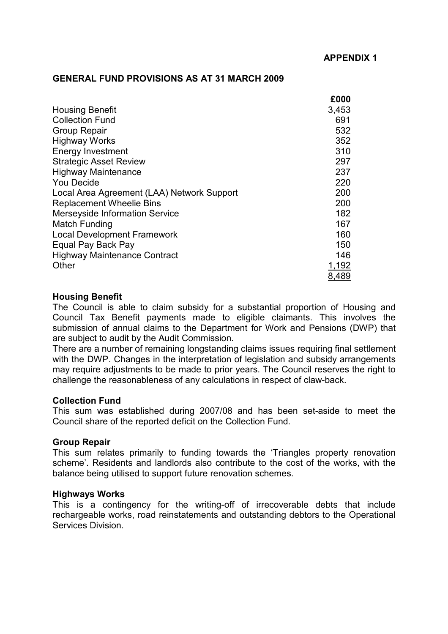## GENERAL FUND PROVISIONS AS AT 31 MARCH 2009

|                                            | £000  |
|--------------------------------------------|-------|
| <b>Housing Benefit</b>                     | 3,453 |
| <b>Collection Fund</b>                     | 691   |
| <b>Group Repair</b>                        | 532   |
| <b>Highway Works</b>                       | 352   |
| <b>Energy Investment</b>                   | 310   |
| <b>Strategic Asset Review</b>              | 297   |
| <b>Highway Maintenance</b>                 | 237   |
| <b>You Decide</b>                          | 220   |
| Local Area Agreement (LAA) Network Support | 200   |
| <b>Replacement Wheelie Bins</b>            | 200   |
| <b>Merseyside Information Service</b>      | 182   |
| <b>Match Funding</b>                       | 167   |
| <b>Local Development Framework</b>         | 160   |
| Equal Pay Back Pay                         | 150   |
| <b>Highway Maintenance Contract</b>        | 146   |
| Other                                      | 1,192 |
|                                            | 8,489 |

## Housing Benefit

The Council is able to claim subsidy for a substantial proportion of Housing and Council Tax Benefit payments made to eligible claimants. This involves the submission of annual claims to the Department for Work and Pensions (DWP) that are subject to audit by the Audit Commission.

There are a number of remaining longstanding claims issues requiring final settlement with the DWP. Changes in the interpretation of legislation and subsidy arrangements may require adjustments to be made to prior years. The Council reserves the right to challenge the reasonableness of any calculations in respect of claw-back.

### Collection Fund

This sum was established during 2007/08 and has been set-aside to meet the Council share of the reported deficit on the Collection Fund.

### Group Repair

This sum relates primarily to funding towards the 'Triangles property renovation scheme'. Residents and landlords also contribute to the cost of the works, with the balance being utilised to support future renovation schemes.

### Highways Works

This is a contingency for the writing-off of irrecoverable debts that include rechargeable works, road reinstatements and outstanding debtors to the Operational Services Division.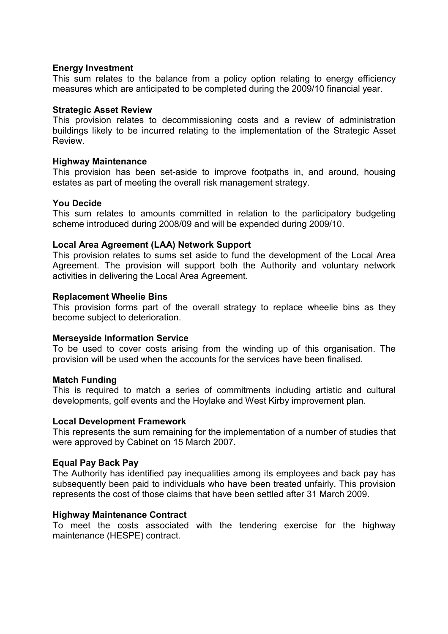## Energy Investment

This sum relates to the balance from a policy option relating to energy efficiency measures which are anticipated to be completed during the 2009/10 financial year.

### Strategic Asset Review

This provision relates to decommissioning costs and a review of administration buildings likely to be incurred relating to the implementation of the Strategic Asset Review.

## Highway Maintenance

This provision has been set-aside to improve footpaths in, and around, housing estates as part of meeting the overall risk management strategy.

## You Decide

This sum relates to amounts committed in relation to the participatory budgeting scheme introduced during 2008/09 and will be expended during 2009/10.

## Local Area Agreement (LAA) Network Support

This provision relates to sums set aside to fund the development of the Local Area Agreement. The provision will support both the Authority and voluntary network activities in delivering the Local Area Agreement.

## Replacement Wheelie Bins

This provision forms part of the overall strategy to replace wheelie bins as they become subject to deterioration.

### Merseyside Information Service

To be used to cover costs arising from the winding up of this organisation. The provision will be used when the accounts for the services have been finalised.

# Match Funding

This is required to match a series of commitments including artistic and cultural developments, golf events and the Hoylake and West Kirby improvement plan.

### Local Development Framework

This represents the sum remaining for the implementation of a number of studies that were approved by Cabinet on 15 March 2007.

### Equal Pay Back Pay

The Authority has identified pay inequalities among its employees and back pay has subsequently been paid to individuals who have been treated unfairly. This provision represents the cost of those claims that have been settled after 31 March 2009.

### Highway Maintenance Contract

To meet the costs associated with the tendering exercise for the highway maintenance (HESPE) contract.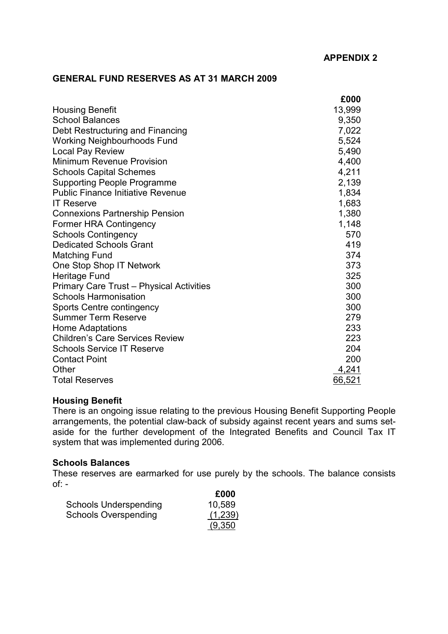## GENERAL FUND RESERVES AS AT 31 MARCH 2009

|                                                 | £000   |
|-------------------------------------------------|--------|
| <b>Housing Benefit</b>                          | 13,999 |
| <b>School Balances</b>                          | 9,350  |
| Debt Restructuring and Financing                | 7,022  |
| <b>Working Neighbourhoods Fund</b>              | 5,524  |
| <b>Local Pay Review</b>                         | 5,490  |
| <b>Minimum Revenue Provision</b>                | 4,400  |
| <b>Schools Capital Schemes</b>                  | 4,211  |
| <b>Supporting People Programme</b>              | 2,139  |
| <b>Public Finance Initiative Revenue</b>        | 1,834  |
| <b>IT Reserve</b>                               | 1,683  |
| <b>Connexions Partnership Pension</b>           | 1,380  |
| <b>Former HRA Contingency</b>                   | 1,148  |
| <b>Schools Contingency</b>                      | 570    |
| <b>Dedicated Schools Grant</b>                  | 419    |
| <b>Matching Fund</b>                            | 374    |
| One Stop Shop IT Network                        | 373    |
| Heritage Fund                                   | 325    |
| <b>Primary Care Trust - Physical Activities</b> | 300    |
| <b>Schools Harmonisation</b>                    | 300    |
| Sports Centre contingency                       | 300    |
| <b>Summer Term Reserve</b>                      | 279    |
| <b>Home Adaptations</b>                         | 233    |
| <b>Children's Care Services Review</b>          | 223    |
| <b>Schools Service IT Reserve</b>               | 204    |
| <b>Contact Point</b>                            | 200    |
| Other                                           | 4,241  |
| <b>Total Reserves</b>                           | 66,521 |

## Housing Benefit

There is an ongoing issue relating to the previous Housing Benefit Supporting People arrangements, the potential claw-back of subsidy against recent years and sums setaside for the further development of the Integrated Benefits and Council Tax IT system that was implemented during 2006.

### Schools Balances

These reserves are earmarked for use purely by the schools. The balance consists  $of: -$ 

|                              | £000    |
|------------------------------|---------|
| <b>Schools Underspending</b> | 10,589  |
| <b>Schools Overspending</b>  | (1,239) |
|                              | (9,350) |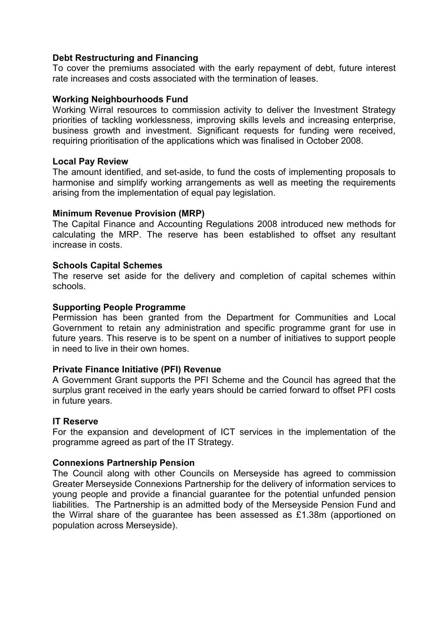# Debt Restructuring and Financing

To cover the premiums associated with the early repayment of debt, future interest rate increases and costs associated with the termination of leases.

# Working Neighbourhoods Fund

Working Wirral resources to commission activity to deliver the Investment Strategy priorities of tackling worklessness, improving skills levels and increasing enterprise, business growth and investment. Significant requests for funding were received, requiring prioritisation of the applications which was finalised in October 2008.

### Local Pay Review

The amount identified, and set-aside, to fund the costs of implementing proposals to harmonise and simplify working arrangements as well as meeting the requirements arising from the implementation of equal pay legislation.

## Minimum Revenue Provision (MRP)

The Capital Finance and Accounting Regulations 2008 introduced new methods for calculating the MRP. The reserve has been established to offset any resultant increase in costs.

## Schools Capital Schemes

The reserve set aside for the delivery and completion of capital schemes within schools.

## Supporting People Programme

Permission has been granted from the Department for Communities and Local Government to retain any administration and specific programme grant for use in future years. This reserve is to be spent on a number of initiatives to support people in need to live in their own homes.

### Private Finance Initiative (PFI) Revenue

A Government Grant supports the PFI Scheme and the Council has agreed that the surplus grant received in the early years should be carried forward to offset PFI costs in future years.

### IT Reserve

For the expansion and development of ICT services in the implementation of the programme agreed as part of the IT Strategy.

### Connexions Partnership Pension

The Council along with other Councils on Merseyside has agreed to commission Greater Merseyside Connexions Partnership for the delivery of information services to young people and provide a financial guarantee for the potential unfunded pension liabilities. The Partnership is an admitted body of the Merseyside Pension Fund and the Wirral share of the guarantee has been assessed as £1.38m (apportioned on population across Merseyside).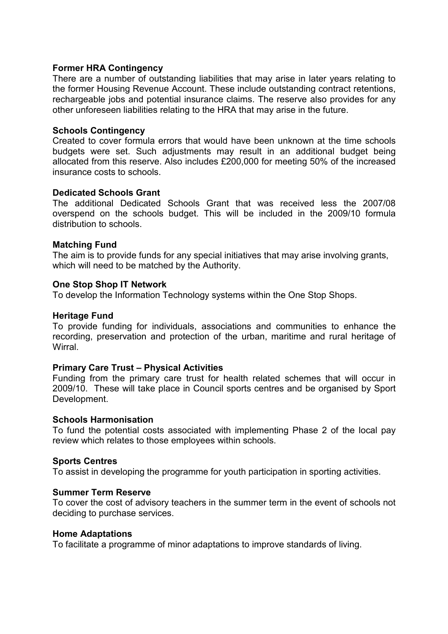## Former HRA Contingency

There are a number of outstanding liabilities that may arise in later years relating to the former Housing Revenue Account. These include outstanding contract retentions, rechargeable jobs and potential insurance claims. The reserve also provides for any other unforeseen liabilities relating to the HRA that may arise in the future.

## Schools Contingency

Created to cover formula errors that would have been unknown at the time schools budgets were set. Such adjustments may result in an additional budget being allocated from this reserve. Also includes £200,000 for meeting 50% of the increased insurance costs to schools.

## Dedicated Schools Grant

The additional Dedicated Schools Grant that was received less the 2007/08 overspend on the schools budget. This will be included in the 2009/10 formula distribution to schools.

## Matching Fund

The aim is to provide funds for any special initiatives that may arise involving grants, which will need to be matched by the Authority.

## One Stop Shop IT Network

To develop the Information Technology systems within the One Stop Shops.

### Heritage Fund

To provide funding for individuals, associations and communities to enhance the recording, preservation and protection of the urban, maritime and rural heritage of **Wirral** 

### Primary Care Trust – Physical Activities

Funding from the primary care trust for health related schemes that will occur in 2009/10. These will take place in Council sports centres and be organised by Sport Development.

### Schools Harmonisation

To fund the potential costs associated with implementing Phase 2 of the local pay review which relates to those employees within schools.

### Sports Centres

To assist in developing the programme for youth participation in sporting activities.

### Summer Term Reserve

To cover the cost of advisory teachers in the summer term in the event of schools not deciding to purchase services.

### Home Adaptations

To facilitate a programme of minor adaptations to improve standards of living.